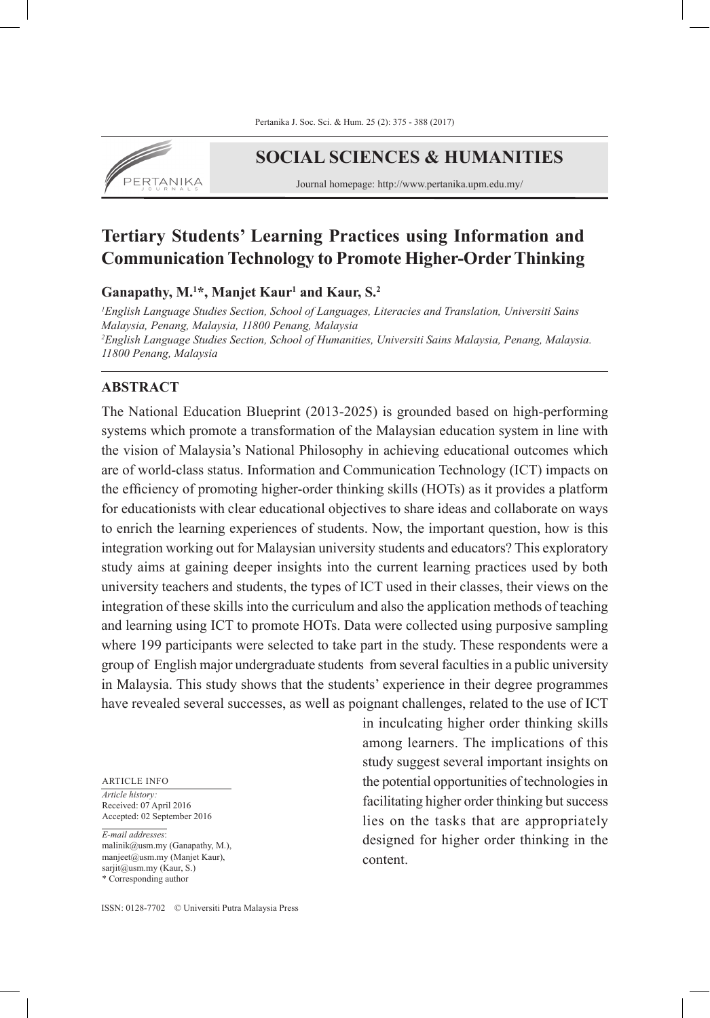

# **SOCIAL SCIENCES & HUMANITIES**

Journal homepage: http://www.pertanika.upm.edu.my/

# **Tertiary Students' Learning Practices using Information and Communication Technology to Promote Higher-Order Thinking**

**Ganapathy, M.1 \*, Manjet Kaur1 and Kaur, S.2**

*1 English Language Studies Section, School of Languages, Literacies and Translation, Universiti Sains Malaysia, Penang, Malaysia, 11800 Penang, Malaysia 2 English Language Studies Section, School of Humanities, Universiti Sains Malaysia, Penang, Malaysia. 11800 Penang, Malaysia* 

### **ABSTRACT**

The National Education Blueprint (2013-2025) is grounded based on high-performing systems which promote a transformation of the Malaysian education system in line with the vision of Malaysia's National Philosophy in achieving educational outcomes which are of world-class status. Information and Communication Technology (ICT) impacts on the efficiency of promoting higher-order thinking skills (HOTs) as it provides a platform for educationists with clear educational objectives to share ideas and collaborate on ways to enrich the learning experiences of students. Now, the important question, how is this integration working out for Malaysian university students and educators? This exploratory study aims at gaining deeper insights into the current learning practices used by both university teachers and students, the types of ICT used in their classes, their views on the integration of these skills into the curriculum and also the application methods of teaching and learning using ICT to promote HOTs. Data were collected using purposive sampling where 199 participants were selected to take part in the study. These respondents were a group of English major undergraduate students from several faculties in a public university in Malaysia. This study shows that the students' experience in their degree programmes have revealed several successes, as well as poignant challenges, related to the use of ICT

#### ARTICLE INFO

*Article history:* Received: 07 April 2016 Accepted: 02 September 2016

*E-mail addresses*: malinik@usm.my (Ganapathy, M.), manjeet@usm.my (Manjet Kaur), sarjit@usm.my (Kaur, S.) \* Corresponding author

in inculcating higher order thinking skills among learners. The implications of this study suggest several important insights on the potential opportunities of technologies in facilitating higher order thinking but success lies on the tasks that are appropriately designed for higher order thinking in the content.

ISSN: 0128-7702 © Universiti Putra Malaysia Press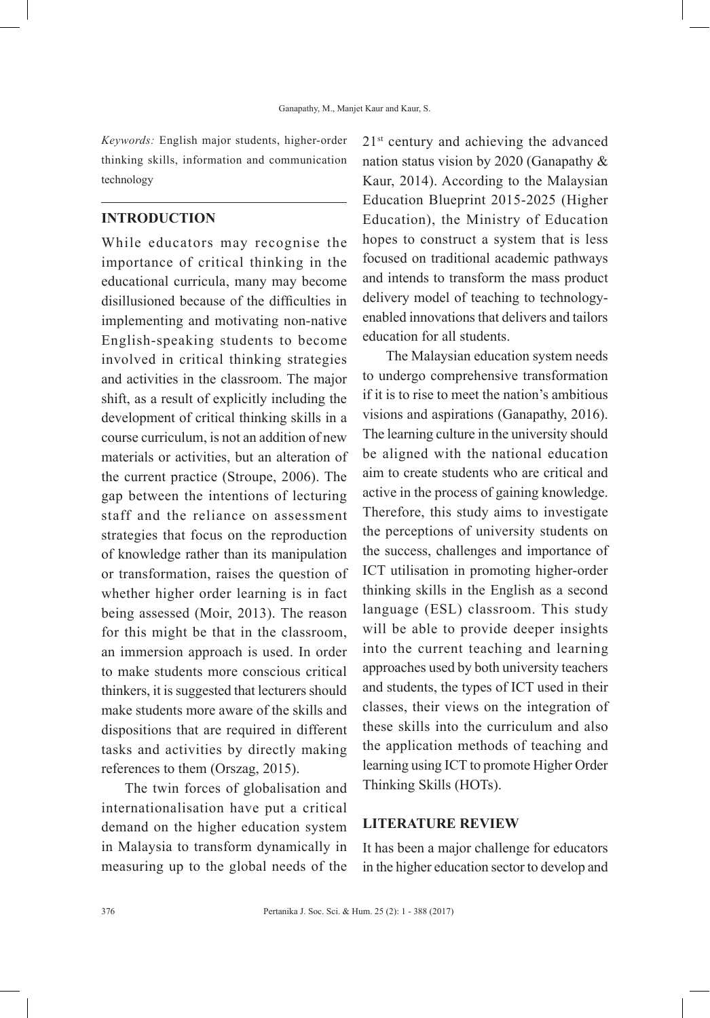*Keywords:* English major students, higher-order thinking skills, information and communication technology

## **INTRODUCTION**

While educators may recognise the importance of critical thinking in the educational curricula, many may become disillusioned because of the difficulties in implementing and motivating non-native English-speaking students to become involved in critical thinking strategies and activities in the classroom. The major shift, as a result of explicitly including the development of critical thinking skills in a course curriculum, is not an addition of new materials or activities, but an alteration of the current practice (Stroupe, 2006). The gap between the intentions of lecturing staff and the reliance on assessment strategies that focus on the reproduction of knowledge rather than its manipulation or transformation, raises the question of whether higher order learning is in fact being assessed (Moir, 2013). The reason for this might be that in the classroom, an immersion approach is used. In order to make students more conscious critical thinkers, it is suggested that lecturers should make students more aware of the skills and dispositions that are required in different tasks and activities by directly making references to them (Orszag, 2015).

The twin forces of globalisation and internationalisation have put a critical demand on the higher education system in Malaysia to transform dynamically in measuring up to the global needs of the 21st century and achieving the advanced nation status vision by 2020 (Ganapathy & Kaur, 2014). According to the Malaysian Education Blueprint 2015-2025 (Higher Education), the Ministry of Education hopes to construct a system that is less focused on traditional academic pathways and intends to transform the mass product delivery model of teaching to technologyenabled innovations that delivers and tailors education for all students.

The Malaysian education system needs to undergo comprehensive transformation if it is to rise to meet the nation's ambitious visions and aspirations (Ganapathy, 2016). The learning culture in the university should be aligned with the national education aim to create students who are critical and active in the process of gaining knowledge. Therefore, this study aims to investigate the perceptions of university students on the success, challenges and importance of ICT utilisation in promoting higher-order thinking skills in the English as a second language (ESL) classroom. This study will be able to provide deeper insights into the current teaching and learning approaches used by both university teachers and students, the types of ICT used in their classes, their views on the integration of these skills into the curriculum and also the application methods of teaching and learning using ICT to promote Higher Order Thinking Skills (HOTs).

#### **LITERATURE REVIEW**

It has been a major challenge for educators in the higher education sector to develop and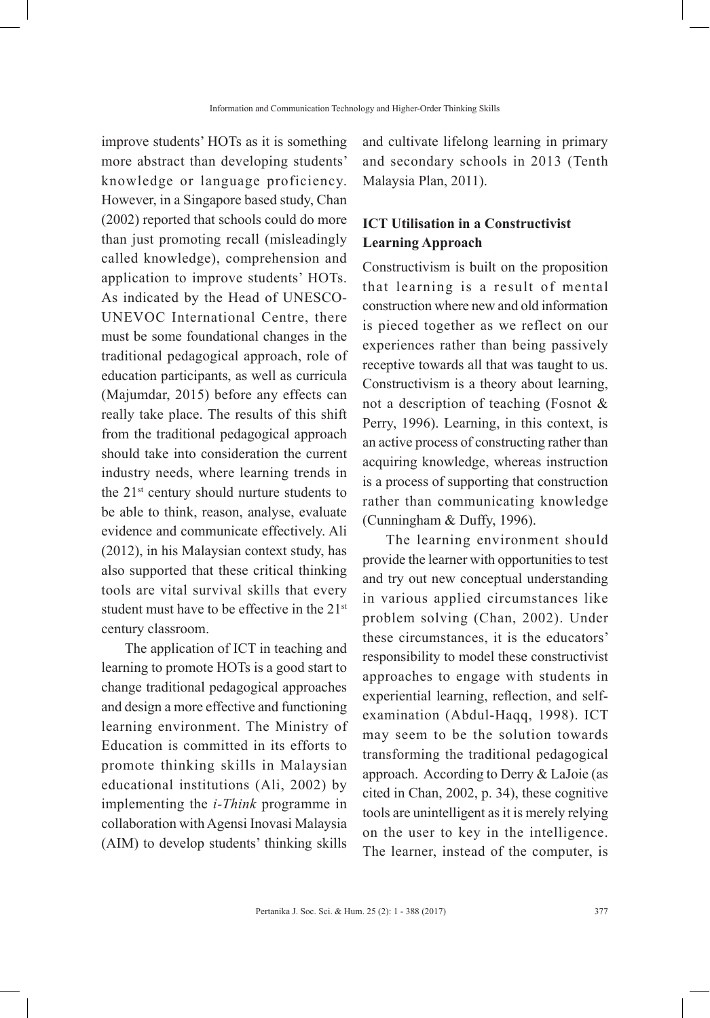improve students' HOTs as it is something more abstract than developing students' knowledge or language proficiency. However, in a Singapore based study, Chan (2002) reported that schools could do more than just promoting recall (misleadingly called knowledge), comprehension and application to improve students' HOTs. As indicated by the Head of UNESCO-UNEVOC International Centre, there must be some foundational changes in the traditional pedagogical approach, role of education participants, as well as curricula (Majumdar, 2015) before any effects can really take place. The results of this shift from the traditional pedagogical approach should take into consideration the current industry needs, where learning trends in the 21<sup>st</sup> century should nurture students to be able to think, reason, analyse, evaluate evidence and communicate effectively. Ali (2012), in his Malaysian context study, has also supported that these critical thinking tools are vital survival skills that every student must have to be effective in the 21<sup>st</sup> century classroom.

The application of ICT in teaching and learning to promote HOTs is a good start to change traditional pedagogical approaches and design a more effective and functioning learning environment. The Ministry of Education is committed in its efforts to promote thinking skills in Malaysian educational institutions (Ali, 2002) by implementing the *i-Think* programme in collaboration with Agensi Inovasi Malaysia (AIM) to develop students' thinking skills

and cultivate lifelong learning in primary and secondary schools in 2013 (Tenth Malaysia Plan, 2011).

# **ICT Utilisation in a Constructivist Learning Approach**

Constructivism is built on the proposition that learning is a result of mental construction where new and old information is pieced together as we reflect on our experiences rather than being passively receptive towards all that was taught to us. Constructivism is a theory about learning, not a description of teaching (Fosnot & Perry, 1996). Learning, in this context, is an active process of constructing rather than acquiring knowledge, whereas instruction is a process of supporting that construction rather than communicating knowledge (Cunningham & Duffy, 1996).

The learning environment should provide the learner with opportunities to test and try out new conceptual understanding in various applied circumstances like problem solving (Chan, 2002). Under these circumstances, it is the educators' responsibility to model these constructivist approaches to engage with students in experiential learning, reflection, and selfexamination (Abdul-Haqq, 1998). ICT may seem to be the solution towards transforming the traditional pedagogical approach. According to Derry & LaJoie (as cited in Chan, 2002, p. 34), these cognitive tools are unintelligent as it is merely relying on the user to key in the intelligence. The learner, instead of the computer, is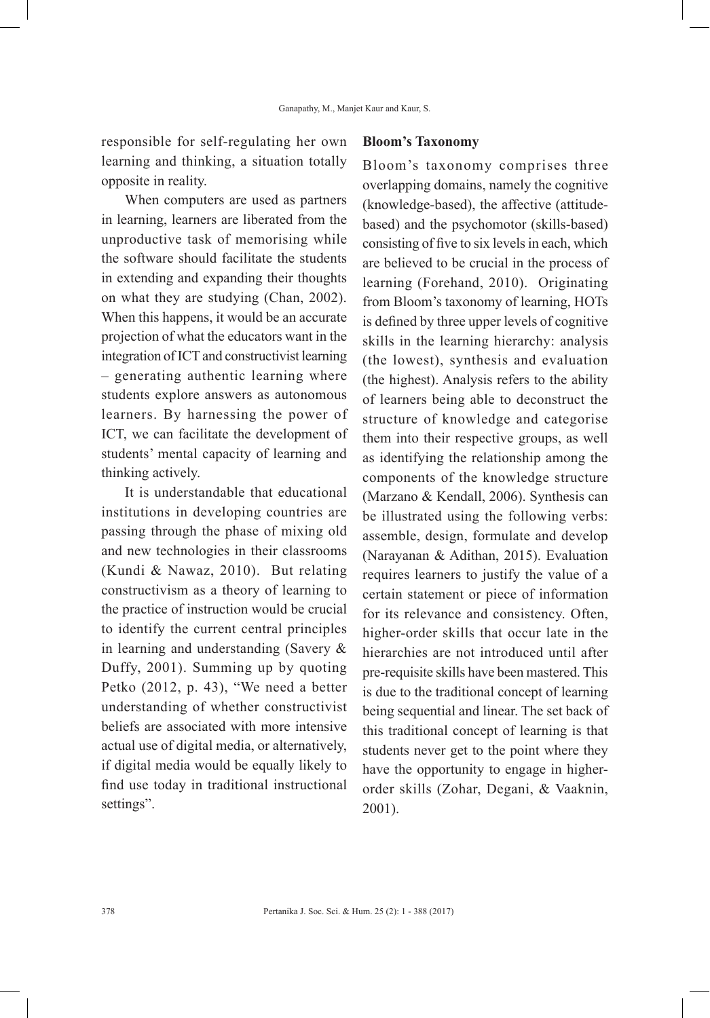responsible for self-regulating her own learning and thinking, a situation totally opposite in reality.

When computers are used as partners in learning, learners are liberated from the unproductive task of memorising while the software should facilitate the students in extending and expanding their thoughts on what they are studying (Chan, 2002). When this happens, it would be an accurate projection of what the educators want in the integration of ICT and constructivist learning – generating authentic learning where students explore answers as autonomous learners. By harnessing the power of ICT, we can facilitate the development of students' mental capacity of learning and thinking actively.

It is understandable that educational institutions in developing countries are passing through the phase of mixing old and new technologies in their classrooms (Kundi & Nawaz, 2010). But relating constructivism as a theory of learning to the practice of instruction would be crucial to identify the current central principles in learning and understanding (Savery & Duffy, 2001). Summing up by quoting Petko (2012, p. 43), "We need a better understanding of whether constructivist beliefs are associated with more intensive actual use of digital media, or alternatively, if digital media would be equally likely to find use today in traditional instructional settings".

#### **Bloom's Taxonomy**

Bloom's taxonomy comprises three overlapping domains, namely the cognitive (knowledge-based), the affective (attitudebased) and the psychomotor (skills-based) consisting of five to six levels in each, which are believed to be crucial in the process of learning (Forehand, 2010). Originating from Bloom's taxonomy of learning, HOTs is defined by three upper levels of cognitive skills in the learning hierarchy: analysis (the lowest), synthesis and evaluation (the highest). Analysis refers to the ability of learners being able to deconstruct the structure of knowledge and categorise them into their respective groups, as well as identifying the relationship among the components of the knowledge structure (Marzano & Kendall, 2006). Synthesis can be illustrated using the following verbs: assemble, design, formulate and develop (Narayanan & Adithan, 2015). Evaluation requires learners to justify the value of a certain statement or piece of information for its relevance and consistency. Often, higher-order skills that occur late in the hierarchies are not introduced until after pre-requisite skills have been mastered. This is due to the traditional concept of learning being sequential and linear. The set back of this traditional concept of learning is that students never get to the point where they have the opportunity to engage in higherorder skills (Zohar, Degani, & Vaaknin, 2001).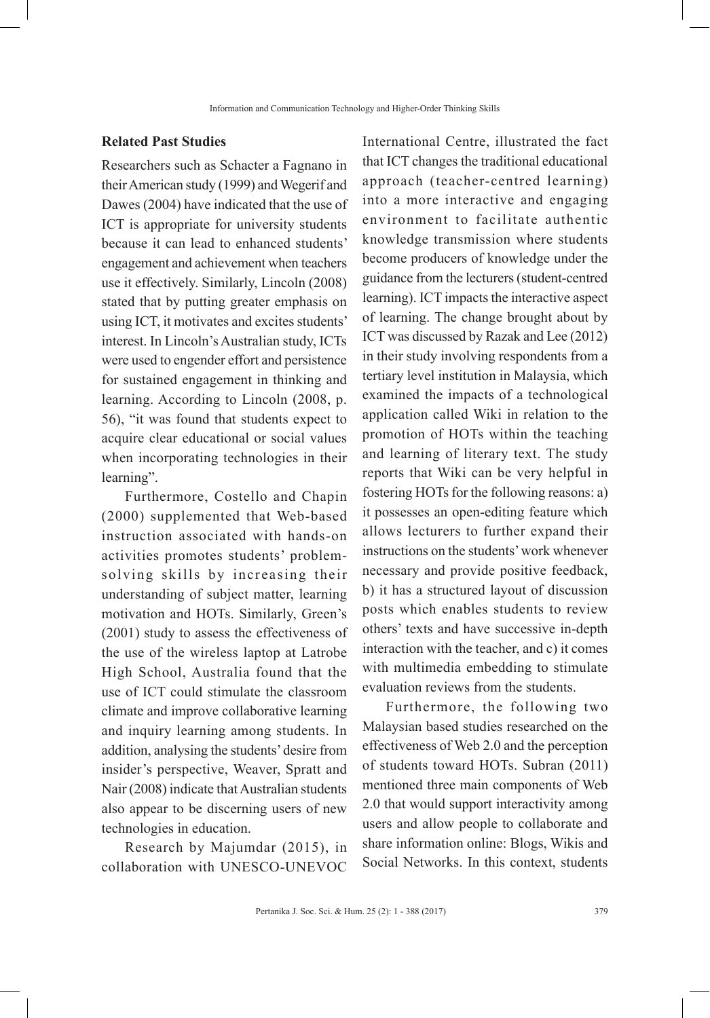#### **Related Past Studies**

Researchers such as Schacter a Fagnano in their American study (1999) and Wegerif and Dawes (2004) have indicated that the use of ICT is appropriate for university students because it can lead to enhanced students' engagement and achievement when teachers use it effectively. Similarly, Lincoln (2008) stated that by putting greater emphasis on using ICT, it motivates and excites students' interest. In Lincoln's Australian study, ICTs were used to engender effort and persistence for sustained engagement in thinking and learning. According to Lincoln (2008, p. 56), "it was found that students expect to acquire clear educational or social values when incorporating technologies in their learning".

Furthermore, Costello and Chapin (2000) supplemented that Web-based instruction associated with hands-on activities promotes students' problemsolving skills by increasing their understanding of subject matter, learning motivation and HOTs. Similarly, Green's (2001) study to assess the effectiveness of the use of the wireless laptop at Latrobe High School, Australia found that the use of ICT could stimulate the classroom climate and improve collaborative learning and inquiry learning among students. In addition, analysing the students' desire from insider's perspective, Weaver, Spratt and Nair (2008) indicate that Australian students also appear to be discerning users of new technologies in education.

Research by Majumdar (2015), in collaboration with UNESCO-UNEVOC International Centre, illustrated the fact that ICT changes the traditional educational approach (teacher-centred learning) into a more interactive and engaging environment to facilitate authentic knowledge transmission where students become producers of knowledge under the guidance from the lecturers (student-centred learning). ICT impacts the interactive aspect of learning. The change brought about by ICT was discussed by Razak and Lee (2012) in their study involving respondents from a tertiary level institution in Malaysia, which examined the impacts of a technological application called Wiki in relation to the promotion of HOTs within the teaching and learning of literary text. The study reports that Wiki can be very helpful in fostering HOTs for the following reasons: a) it possesses an open-editing feature which allows lecturers to further expand their instructions on the students' work whenever necessary and provide positive feedback, b) it has a structured layout of discussion posts which enables students to review others' texts and have successive in-depth interaction with the teacher, and c) it comes with multimedia embedding to stimulate evaluation reviews from the students.

Furthermore, the following two Malaysian based studies researched on the effectiveness of Web 2.0 and the perception of students toward HOTs. Subran (2011) mentioned three main components of Web 2.0 that would support interactivity among users and allow people to collaborate and share information online: Blogs, Wikis and Social Networks. In this context, students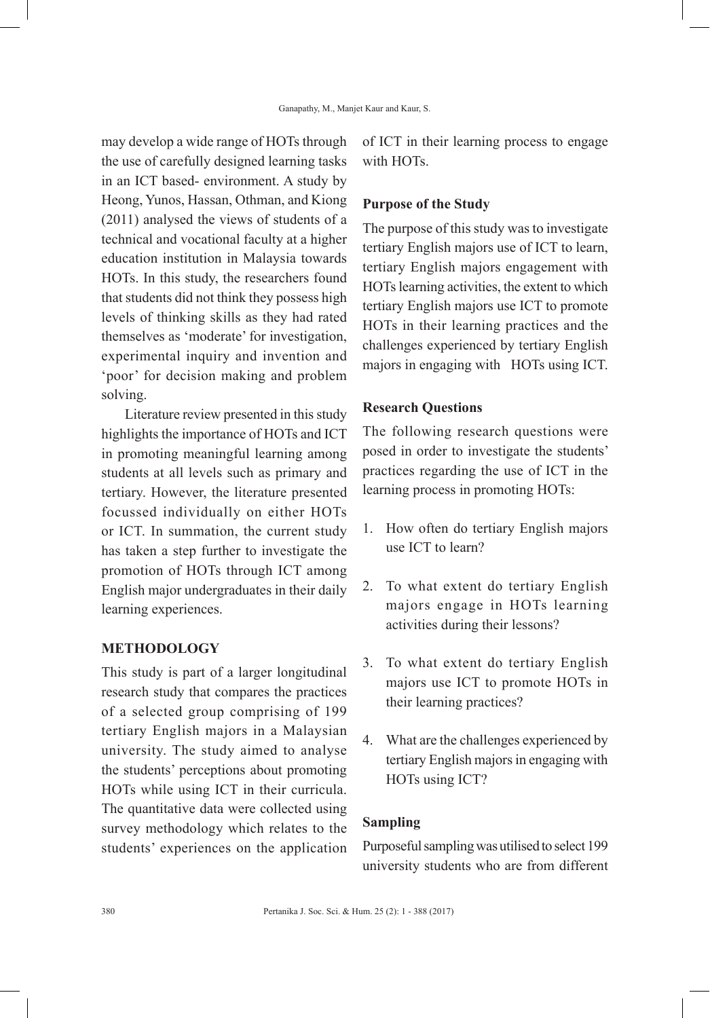may develop a wide range of HOTs through the use of carefully designed learning tasks in an ICT based- environment. A study by Heong, Yunos, Hassan, Othman, and Kiong (2011) analysed the views of students of a technical and vocational faculty at a higher education institution in Malaysia towards HOTs. In this study, the researchers found that students did not think they possess high levels of thinking skills as they had rated themselves as 'moderate' for investigation, experimental inquiry and invention and 'poor' for decision making and problem solving.

Literature review presented in this study highlights the importance of HOTs and ICT in promoting meaningful learning among students at all levels such as primary and tertiary. However, the literature presented focussed individually on either HOTs or ICT. In summation, the current study has taken a step further to investigate the promotion of HOTs through ICT among English major undergraduates in their daily learning experiences.

#### **METHODOLOGY**

This study is part of a larger longitudinal research study that compares the practices of a selected group comprising of 199 tertiary English majors in a Malaysian university. The study aimed to analyse the students' perceptions about promoting HOTs while using ICT in their curricula. The quantitative data were collected using survey methodology which relates to the students' experiences on the application

of ICT in their learning process to engage with HOTs.

#### **Purpose of the Study**

The purpose of this study was to investigate tertiary English majors use of ICT to learn, tertiary English majors engagement with HOTs learning activities, the extent to which tertiary English majors use ICT to promote HOTs in their learning practices and the challenges experienced by tertiary English majors in engaging with HOTs using ICT.

### **Research Questions**

The following research questions were posed in order to investigate the students' practices regarding the use of ICT in the learning process in promoting HOTs:

- 1. How often do tertiary English majors use ICT to learn?
- 2. To what extent do tertiary English majors engage in HOTs learning activities during their lessons?
- 3. To what extent do tertiary English majors use ICT to promote HOTs in their learning practices?
- 4. What are the challenges experienced by tertiary English majors in engaging with HOTs using ICT?

### **Sampling**

Purposeful sampling was utilised to select 199 university students who are from different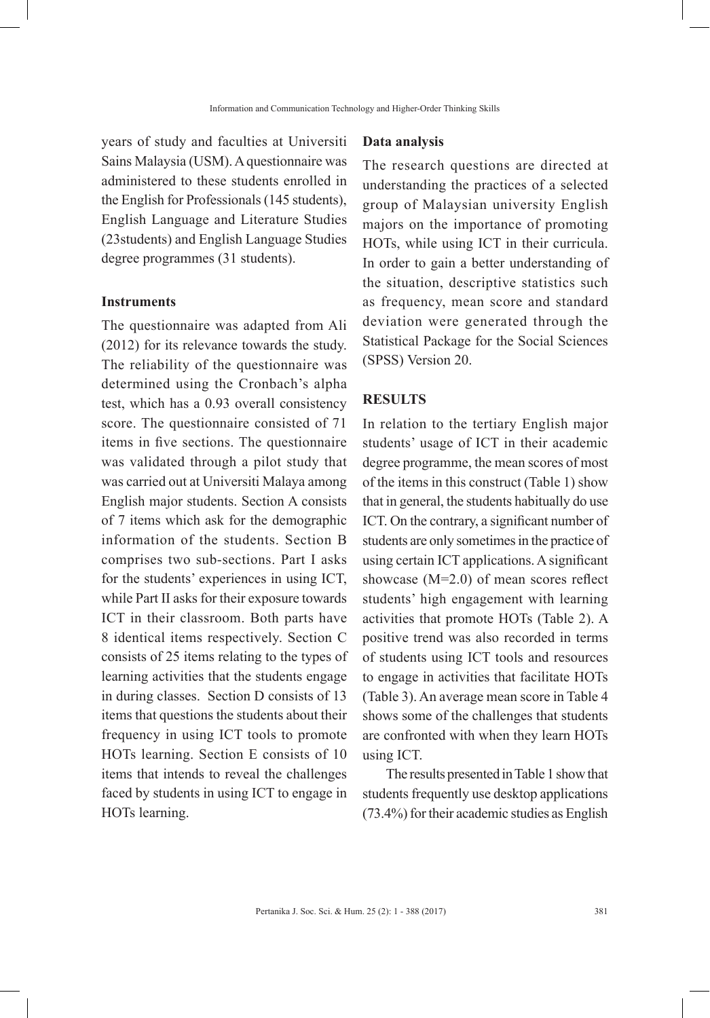years of study and faculties at Universiti Sains Malaysia (USM). A questionnaire was administered to these students enrolled in the English for Professionals (145 students), English Language and Literature Studies (23students) and English Language Studies degree programmes (31 students).

#### **Instruments**

The questionnaire was adapted from Ali (2012) for its relevance towards the study. The reliability of the questionnaire was determined using the Cronbach's alpha test, which has a 0.93 overall consistency score. The questionnaire consisted of 71 items in five sections. The questionnaire was validated through a pilot study that was carried out at Universiti Malaya among English major students. Section A consists of 7 items which ask for the demographic information of the students. Section B comprises two sub-sections. Part I asks for the students' experiences in using ICT, while Part II asks for their exposure towards ICT in their classroom. Both parts have 8 identical items respectively. Section C consists of 25 items relating to the types of learning activities that the students engage in during classes. Section D consists of 13 items that questions the students about their frequency in using ICT tools to promote HOTs learning. Section E consists of 10 items that intends to reveal the challenges faced by students in using ICT to engage in HOTs learning.

#### **Data analysis**

The research questions are directed at understanding the practices of a selected group of Malaysian university English majors on the importance of promoting HOTs, while using ICT in their curricula. In order to gain a better understanding of the situation, descriptive statistics such as frequency, mean score and standard deviation were generated through the Statistical Package for the Social Sciences (SPSS) Version 20.

#### **RESULTS**

In relation to the tertiary English major students' usage of ICT in their academic degree programme, the mean scores of most of the items in this construct (Table 1) show that in general, the students habitually do use ICT. On the contrary, a significant number of students are only sometimes in the practice of using certain ICT applications. A significant showcase (M=2.0) of mean scores reflect students' high engagement with learning activities that promote HOTs (Table 2). A positive trend was also recorded in terms of students using ICT tools and resources to engage in activities that facilitate HOTs (Table 3). An average mean score in Table 4 shows some of the challenges that students are confronted with when they learn HOTs using ICT.

The results presented in Table 1 show that students frequently use desktop applications (73.4%) for their academic studies as English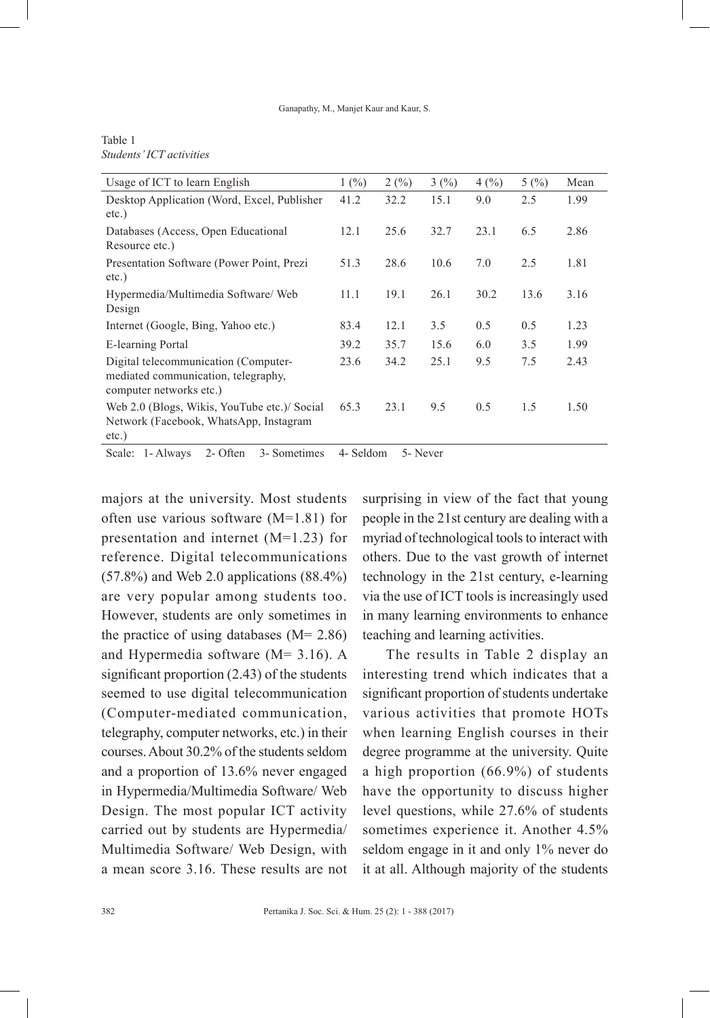#### Ganapathy, M., Manjet Kaur and Kaur, S.

#### Table 1 *Students' ICT activities*

| Usage of ICT to learn English                                                                          | 1(%) | 2(%) | 3(%) | 4(%) | 5(%) | Mean |
|--------------------------------------------------------------------------------------------------------|------|------|------|------|------|------|
| Desktop Application (Word, Excel, Publisher<br>$etc.$ )                                                | 41.2 | 32.2 | 15.1 | 9.0  | 2.5  | 1.99 |
| Databases (Access, Open Educational<br>Resource etc.)                                                  | 12.1 | 25.6 | 32.7 | 23.1 | 6.5  | 2.86 |
| Presentation Software (Power Point, Prezi<br>$etc.$ )                                                  | 51.3 | 28.6 | 10.6 | 7.0  | 2.5  | 1.81 |
| Hypermedia/Multimedia Software/Web<br>Design                                                           | 11.1 | 19.1 | 26.1 | 30.2 | 13.6 | 3.16 |
| Internet (Google, Bing, Yahoo etc.)                                                                    | 83.4 | 12.1 | 3.5  | 0.5  | 0.5  | 1.23 |
| E-learning Portal                                                                                      | 39.2 | 35.7 | 15.6 | 6.0  | 3.5  | 1.99 |
| Digital telecommunication (Computer-<br>mediated communication, telegraphy,<br>computer networks etc.) | 23.6 | 34.2 | 25.1 | 9.5  | 7.5  | 2.43 |
| Web 2.0 (Blogs, Wikis, YouTube etc.)/ Social<br>Network (Facebook, WhatsApp, Instagram<br>$etc.$ )     | 65.3 | 23.1 | 9.5  | 0.5  | 1.5  | 1.50 |

Scale: 1- Always 2- Often 3- Sometimes 4- Seldom 5- Never

majors at the university. Most students often use various software (M=1.81) for presentation and internet (M=1.23) for reference. Digital telecommunications (57.8%) and Web 2.0 applications (88.4%) are very popular among students too. However, students are only sometimes in the practice of using databases  $(M= 2.86)$ and Hypermedia software (M= 3.16). A significant proportion (2.43) of the students seemed to use digital telecommunication (Computer-mediated communication, telegraphy, computer networks, etc.) in their courses. About 30.2% of the students seldom and a proportion of 13.6% never engaged in Hypermedia/Multimedia Software/ Web Design. The most popular ICT activity carried out by students are Hypermedia/ Multimedia Software/ Web Design, with a mean score 3.16. These results are not

surprising in view of the fact that young people in the 21st century are dealing with a myriad of technological tools to interact with others. Due to the vast growth of internet technology in the 21st century, e-learning via the use of ICT tools is increasingly used in many learning environments to enhance teaching and learning activities.

The results in Table 2 display an interesting trend which indicates that a significant proportion of students undertake various activities that promote HOTs when learning English courses in their degree programme at the university. Quite a high proportion (66.9%) of students have the opportunity to discuss higher level questions, while 27.6% of students sometimes experience it. Another 4.5% seldom engage in it and only 1% never do it at all. Although majority of the students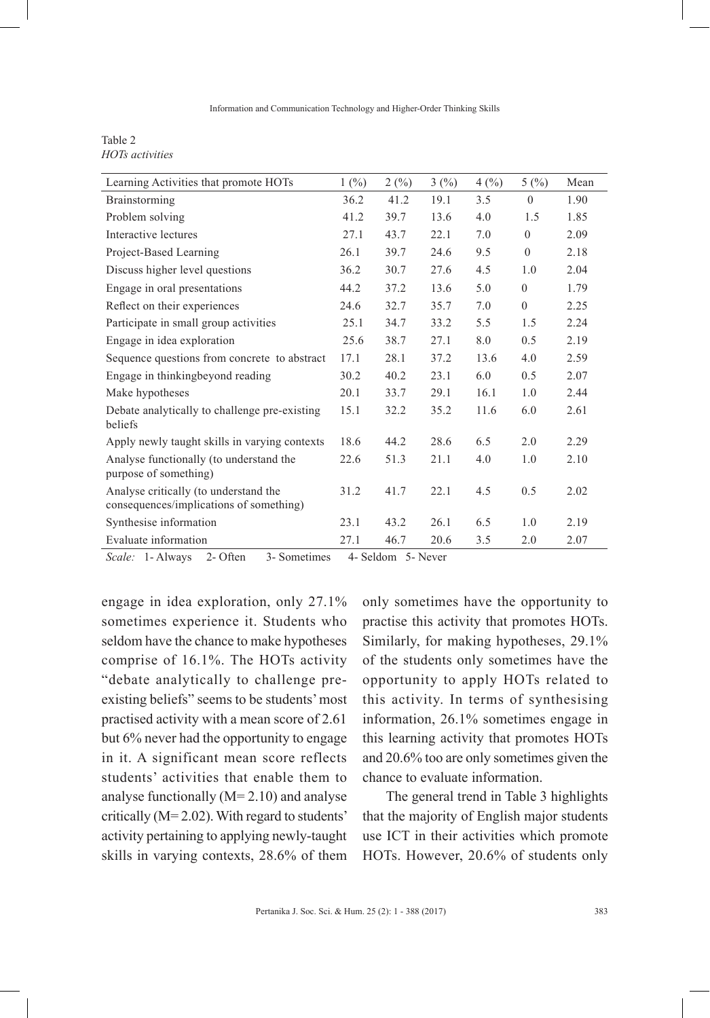Table 2 *HOTs activities*

| Learning Activities that promote HOTs                                            | 1(%) | 2(%) | 3(%) | 4(%) | 5(%)     | Mean |
|----------------------------------------------------------------------------------|------|------|------|------|----------|------|
| Brainstorming                                                                    | 36.2 | 41.2 | 19.1 | 3.5  | $\theta$ | 1.90 |
| Problem solving                                                                  | 41.2 | 39.7 | 13.6 | 4.0  | 1.5      | 1.85 |
| Interactive lectures                                                             | 27.1 | 43.7 | 22.1 | 7.0  | $\theta$ | 2.09 |
| Project-Based Learning                                                           | 26.1 | 39.7 | 24.6 | 9.5  | $\theta$ | 2.18 |
| Discuss higher level questions                                                   | 36.2 | 30.7 | 27.6 | 4.5  | 1.0      | 2.04 |
| Engage in oral presentations                                                     | 44.2 | 37.2 | 13.6 | 5.0  | $\theta$ | 1.79 |
| Reflect on their experiences                                                     | 24.6 | 32.7 | 35.7 | 7.0  | $\theta$ | 2.25 |
| Participate in small group activities                                            | 25.1 | 34.7 | 33.2 | 5.5  | 1.5      | 2.24 |
| Engage in idea exploration                                                       | 25.6 | 38.7 | 27.1 | 8.0  | 0.5      | 2.19 |
| Sequence questions from concrete to abstract                                     | 17.1 | 28.1 | 37.2 | 13.6 | 4.0      | 2.59 |
| Engage in thinking beyond reading                                                | 30.2 | 40.2 | 23.1 | 6.0  | 0.5      | 2.07 |
| Make hypotheses                                                                  | 20.1 | 33.7 | 29.1 | 16.1 | 1.0      | 2.44 |
| Debate analytically to challenge pre-existing<br>beliefs                         | 15.1 | 32.2 | 35.2 | 11.6 | 6.0      | 2.61 |
| Apply newly taught skills in varying contexts                                    | 18.6 | 44.2 | 28.6 | 6.5  | 2.0      | 2.29 |
| Analyse functionally (to understand the<br>purpose of something)                 | 22.6 | 51.3 | 21.1 | 4.0  | 1.0      | 2.10 |
| Analyse critically (to understand the<br>consequences/implications of something) | 31.2 | 41.7 | 22.1 | 4.5  | 0.5      | 2.02 |
| Synthesise information                                                           | 23.1 | 43.2 | 26.1 | 6.5  | 1.0      | 2.19 |
| Evaluate information                                                             | 27.1 | 46.7 | 20.6 | 3.5  | 2.0      | 2.07 |

*Scale:* 1- Always 2- Often 3- Sometimes 4- Seldom 5- Never

engage in idea exploration, only 27.1% sometimes experience it. Students who seldom have the chance to make hypotheses comprise of 16.1%. The HOTs activity "debate analytically to challenge preexisting beliefs" seems to be students' most practised activity with a mean score of 2.61 but 6% never had the opportunity to engage in it. A significant mean score reflects students' activities that enable them to analyse functionally (M= 2.10) and analyse critically (M= 2.02). With regard to students' activity pertaining to applying newly-taught skills in varying contexts, 28.6% of them

only sometimes have the opportunity to practise this activity that promotes HOTs. Similarly, for making hypotheses, 29.1% of the students only sometimes have the opportunity to apply HOTs related to this activity. In terms of synthesising information, 26.1% sometimes engage in this learning activity that promotes HOTs and 20.6% too are only sometimes given the chance to evaluate information.

The general trend in Table 3 highlights that the majority of English major students use ICT in their activities which promote HOTs. However, 20.6% of students only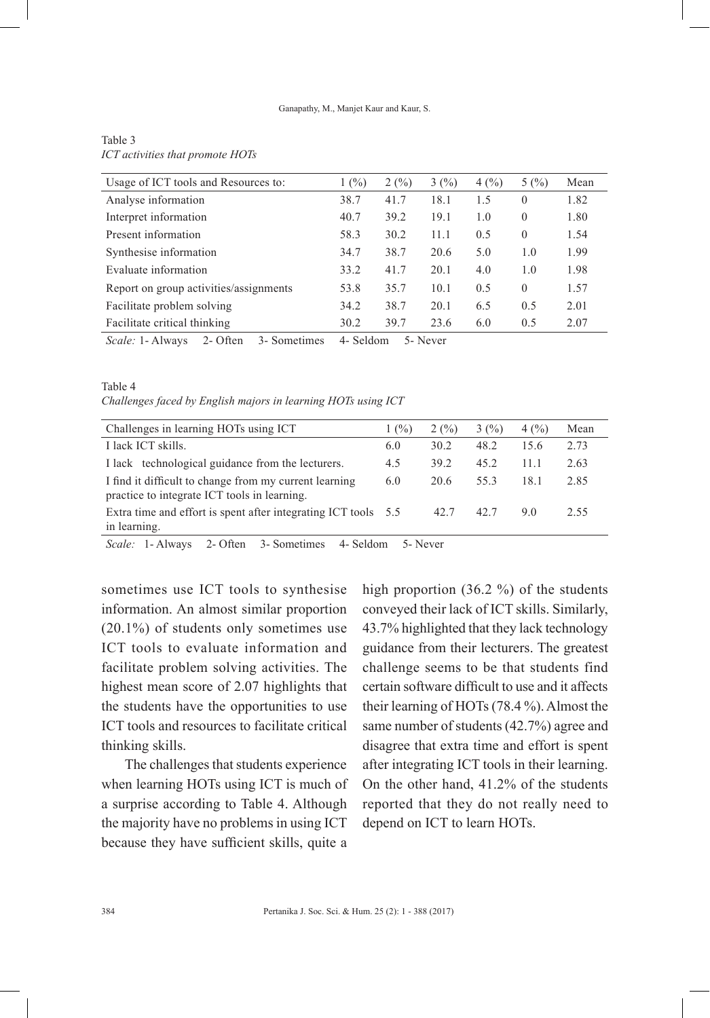Ganapathy, M., Manjet Kaur and Kaur, S.

| Usage of ICT tools and Resources to:                | 1(%)      | 2(%) | 3(%)     | 4(%) | 5(%)     | Mean |
|-----------------------------------------------------|-----------|------|----------|------|----------|------|
| Analyse information                                 | 38.7      | 41.7 | 18.1     | 1.5  | $\theta$ | 1.82 |
| Interpret information                               | 40.7      | 39.2 | 19.1     | 1.0  | $\theta$ | 1.80 |
| Present information                                 | 58.3      | 30.2 | 11.1     | 0.5  | $\theta$ | 1.54 |
| Synthesise information                              | 34.7      | 38.7 | 20.6     | 5.0  | 1.0      | 1.99 |
| Evaluate information                                | 33.2      | 41.7 | 20.1     | 4.0  | 1.0      | 1.98 |
| Report on group activities/assignments              | 53.8      | 35.7 | 10.1     | 0.5  | $\theta$ | 1.57 |
| Facilitate problem solving                          | 34.2      | 38.7 | 20.1     | 6.5  | 0.5      | 2.01 |
| Facilitate critical thinking                        | 30.2      | 39.7 | 23.6     | 6.0  | 0.5      | 2.07 |
| <i>Scale:</i> 1- Always<br>2- Often<br>3- Sometimes | 4- Seldom |      | 5- Never |      |          |      |

#### Table 3 *ICT activities that promote HOTs*

Table 4

*Challenges faced by English majors in learning HOTs using ICT*

| Challenges in learning HOTs using ICT                                                                  | 1(%) | 2(%) | 3(%) | 4(%) | Mean |
|--------------------------------------------------------------------------------------------------------|------|------|------|------|------|
| I lack ICT skills.                                                                                     | 6.0  | 30.2 | 48.2 | 15.6 | 2.73 |
| I lack technological guidance from the lecturers.                                                      | 4.5  | 39.2 | 45.2 | 11 1 | 2.63 |
| I find it difficult to change from my current learning<br>practice to integrate ICT tools in learning. | 6.0  | 20.6 | 553  | 181  | 2.85 |
| Extra time and effort is spent after integrating ICT tools 5.5<br>in learning.                         |      | 42.7 | 42.7 | 90   | 2.55 |

*Scale:* 1- Always 2- Often 3- Sometimes 4- Seldom 5- Never

sometimes use ICT tools to synthesise information. An almost similar proportion (20.1%) of students only sometimes use ICT tools to evaluate information and facilitate problem solving activities. The highest mean score of 2.07 highlights that the students have the opportunities to use ICT tools and resources to facilitate critical thinking skills.

The challenges that students experience when learning HOTs using ICT is much of a surprise according to Table 4. Although the majority have no problems in using ICT because they have sufficient skills, quite a

high proportion (36.2 %) of the students conveyed their lack of ICT skills. Similarly, 43.7% highlighted that they lack technology guidance from their lecturers. The greatest challenge seems to be that students find certain software difficult to use and it affects their learning of HOTs (78.4 %). Almost the same number of students (42.7%) agree and disagree that extra time and effort is spent after integrating ICT tools in their learning. On the other hand, 41.2% of the students reported that they do not really need to depend on ICT to learn HOTs.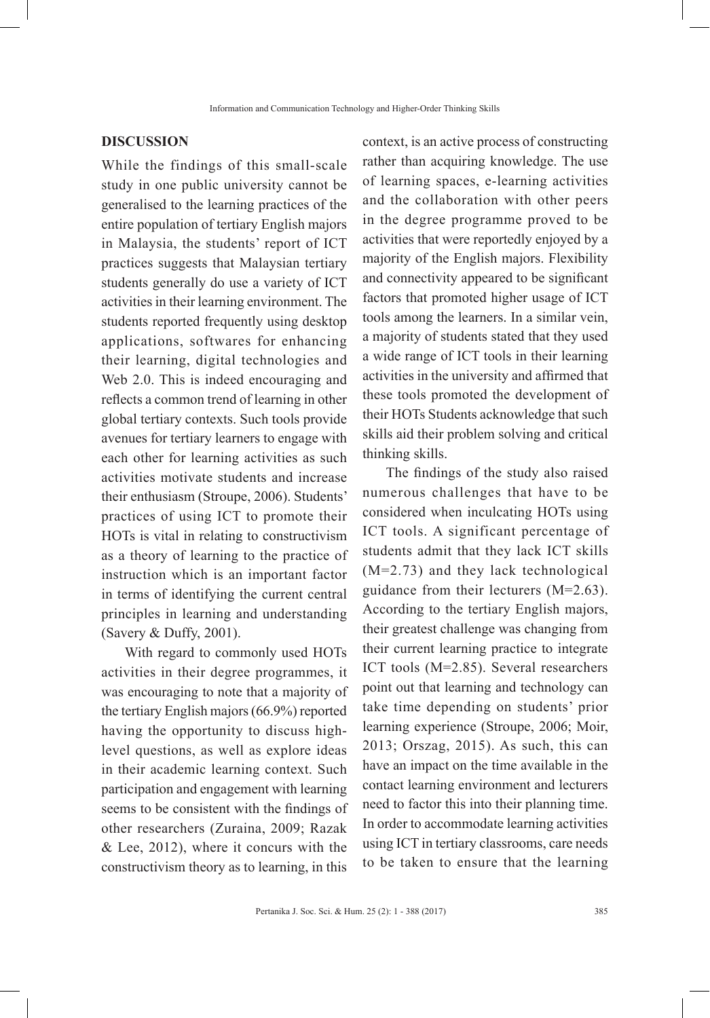#### **DISCUSSION**

While the findings of this small-scale study in one public university cannot be generalised to the learning practices of the entire population of tertiary English majors in Malaysia, the students' report of ICT practices suggests that Malaysian tertiary students generally do use a variety of ICT activities in their learning environment. The students reported frequently using desktop applications, softwares for enhancing their learning, digital technologies and Web 2.0. This is indeed encouraging and reflects a common trend of learning in other global tertiary contexts. Such tools provide avenues for tertiary learners to engage with each other for learning activities as such activities motivate students and increase their enthusiasm (Stroupe, 2006). Students' practices of using ICT to promote their HOTs is vital in relating to constructivism as a theory of learning to the practice of instruction which is an important factor in terms of identifying the current central principles in learning and understanding (Savery & Duffy, 2001).

With regard to commonly used HOTs activities in their degree programmes, it was encouraging to note that a majority of the tertiary English majors (66.9%) reported having the opportunity to discuss highlevel questions, as well as explore ideas in their academic learning context. Such participation and engagement with learning seems to be consistent with the findings of other researchers (Zuraina, 2009; Razak  $&$  Lee, 2012), where it concurs with the constructivism theory as to learning, in this

context, is an active process of constructing rather than acquiring knowledge. The use of learning spaces, e-learning activities and the collaboration with other peers in the degree programme proved to be activities that were reportedly enjoyed by a majority of the English majors. Flexibility and connectivity appeared to be significant factors that promoted higher usage of ICT tools among the learners. In a similar vein, a majority of students stated that they used a wide range of ICT tools in their learning activities in the university and affirmed that these tools promoted the development of their HOTs Students acknowledge that such skills aid their problem solving and critical thinking skills.

The findings of the study also raised numerous challenges that have to be considered when inculcating HOTs using ICT tools. A significant percentage of students admit that they lack ICT skills (M=2.73) and they lack technological guidance from their lecturers (M=2.63). According to the tertiary English majors, their greatest challenge was changing from their current learning practice to integrate ICT tools (M=2.85). Several researchers point out that learning and technology can take time depending on students' prior learning experience (Stroupe, 2006; Moir, 2013; Orszag, 2015). As such, this can have an impact on the time available in the contact learning environment and lecturers need to factor this into their planning time. In order to accommodate learning activities using ICT in tertiary classrooms, care needs to be taken to ensure that the learning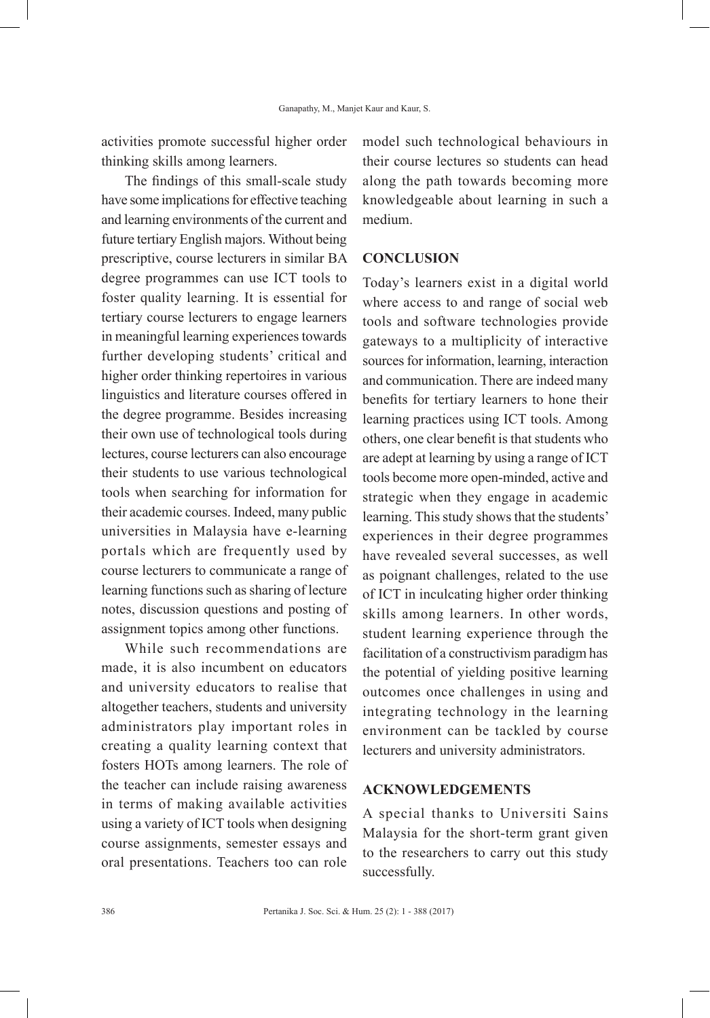activities promote successful higher order thinking skills among learners.

The findings of this small-scale study have some implications for effective teaching and learning environments of the current and future tertiary English majors. Without being prescriptive, course lecturers in similar BA degree programmes can use ICT tools to foster quality learning. It is essential for tertiary course lecturers to engage learners in meaningful learning experiences towards further developing students' critical and higher order thinking repertoires in various linguistics and literature courses offered in the degree programme. Besides increasing their own use of technological tools during lectures, course lecturers can also encourage their students to use various technological tools when searching for information for their academic courses. Indeed, many public universities in Malaysia have e-learning portals which are frequently used by course lecturers to communicate a range of learning functions such as sharing of lecture notes, discussion questions and posting of assignment topics among other functions.

While such recommendations are made, it is also incumbent on educators and university educators to realise that altogether teachers, students and university administrators play important roles in creating a quality learning context that fosters HOTs among learners. The role of the teacher can include raising awareness in terms of making available activities using a variety of ICT tools when designing course assignments, semester essays and oral presentations. Teachers too can role

model such technological behaviours in their course lectures so students can head along the path towards becoming more knowledgeable about learning in such a medium.

### **CONCLUSION**

Today's learners exist in a digital world where access to and range of social web tools and software technologies provide gateways to a multiplicity of interactive sources for information, learning, interaction and communication. There are indeed many benefits for tertiary learners to hone their learning practices using ICT tools. Among others, one clear benefit is that students who are adept at learning by using a range of ICT tools become more open-minded, active and strategic when they engage in academic learning. This study shows that the students' experiences in their degree programmes have revealed several successes, as well as poignant challenges, related to the use of ICT in inculcating higher order thinking skills among learners. In other words, student learning experience through the facilitation of a constructivism paradigm has the potential of yielding positive learning outcomes once challenges in using and integrating technology in the learning environment can be tackled by course lecturers and university administrators.

# **ACKNOWLEDGEMENTS**

A special thanks to Universiti Sains Malaysia for the short-term grant given to the researchers to carry out this study successfully.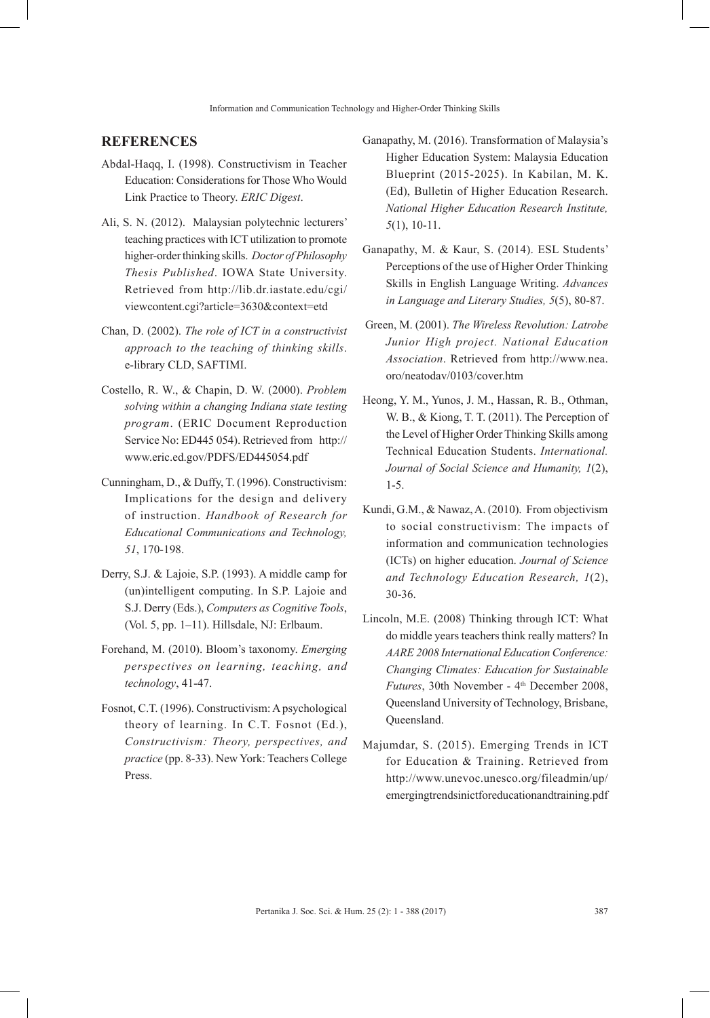#### **REFERENCES**

- Abdal-Haqq, I. (1998). Constructivism in Teacher Education: Considerations for Those Who Would Link Practice to Theory. *ERIC Digest*.
- Ali, S. N. (2012). Malaysian polytechnic lecturers' teaching practices with ICT utilization to promote higher-order thinking skills. *Doctor of Philosophy Thesis Published*. IOWA State University. Retrieved from http://lib.dr.iastate.edu/cgi/ viewcontent.cgi?article=3630&context=etd
- Chan, D. (2002). *The role of ICT in a constructivist approach to the teaching of thinking skills*. e-library CLD, SAFTIMI.
- Costello, R. W., & Chapin, D. W. (2000). *Problem solving within a changing Indiana state testing program*. (ERIC Document Reproduction Service No: ED445 054). Retrieved from http:// www.eric.ed.gov/PDFS/ED445054.pdf
- Cunningham, D., & Duffy, T. (1996). Constructivism: Implications for the design and delivery of instruction. *Handbook of Research for Educational Communications and Technology, 51*, 170-198.
- Derry, S.J. & Lajoie, S.P. (1993). A middle camp for (un)intelligent computing. In S.P. Lajoie and S.J. Derry (Eds.), *Computers as Cognitive Tools*, (Vol. 5, pp. 1–11). Hillsdale, NJ: Erlbaum.
- Forehand, M. (2010). Bloom's taxonomy. *Emerging perspectives on learning, teaching, and technology*, 41-47.
- Fosnot, C.T. (1996). Constructivism: A psychological theory of learning. In C.T. Fosnot (Ed.), *Constructivism: Theory, perspectives, and practice* (pp. 8-33). New York: Teachers College Press.
- Ganapathy, M. (2016). Transformation of Malaysia's Higher Education System: Malaysia Education Blueprint (2015-2025). In Kabilan, M. K. (Ed), Bulletin of Higher Education Research. *National Higher Education Research Institute, 5*(1), 10-11.
- Ganapathy, M. & Kaur, S. (2014). ESL Students' Perceptions of the use of Higher Order Thinking Skills in English Language Writing. *Advances in Language and Literary Studies, 5*(5), 80-87.
- Green, M. (2001). *The Wireless Revolution: Latrobe Junior High project. National Education Association*. Retrieved from http://www.nea. oro/neatodav/0103/cover.htm
- Heong, Y. M., Yunos, J. M., Hassan, R. B., Othman, W. B., & Kiong, T. T. (2011). The Perception of the Level of Higher Order Thinking Skills among Technical Education Students. *International. Journal of Social Science and Humanity, 1*(2), 1-5.
- Kundi, G.M., & Nawaz, A. (2010). From objectivism to social constructivism: The impacts of information and communication technologies (ICTs) on higher education. *Journal of Science and Technology Education Research, 1*(2), 30-36.
- Lincoln, M.E. (2008) Thinking through ICT: What do middle years teachers think really matters? In *AARE 2008 International Education Conference: Changing Climates: Education for Sustainable Futures*, 30th November - 4<sup>th</sup> December 2008, Queensland University of Technology, Brisbane, Queensland.
- Majumdar, S. (2015). Emerging Trends in ICT for Education & Training. Retrieved from http://www.unevoc.unesco.org/fileadmin/up/ emergingtrendsinictforeducationandtraining.pdf